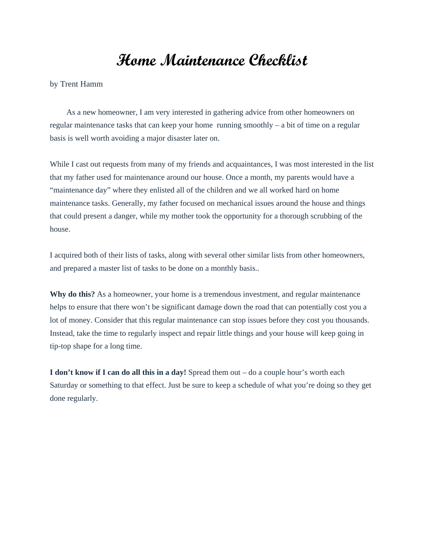## **Home Maintenance Checklist**

[by Trent Hamm](https://www.thesimpledollar.com/author/admin/)

As a new homeowner, I am very interested in gathering advice from other homeowners on regular maintenance tasks that can keep your home running smoothly – a bit of time on a regular basis is well worth avoiding a major disaster later on.

While I cast out requests from many of my friends and acquaintances, I was most interested in the list that my father used for maintenance around our house. Once a month, my parents would have a "maintenance day" where they enlisted all of the children and we all worked hard on home maintenance tasks. Generally, my father focused on mechanical issues around the house and things that could present a danger, while my mother took the opportunity for a thorough scrubbing of the house.

I acquired both of their lists of tasks, along with several other similar lists from other homeowners, and prepared a master list of tasks to be done on a monthly basis..

**Why do this?** As a homeowner, your home is a tremendous investment, and regular maintenance helps to ensure that there won't be significant damage down the road that can potentially cost you a lot of money. Consider that this regular maintenance can stop issues before they cost you thousands. Instead, take the time to regularly inspect and repair little things and your house will keep going in tip-top shape for a long time.

**I don't know if I can do all this in a day!** Spread them out – do a couple hour's worth each Saturday or something to that effect. Just be sure to keep a schedule of what you're doing so they get done regularly.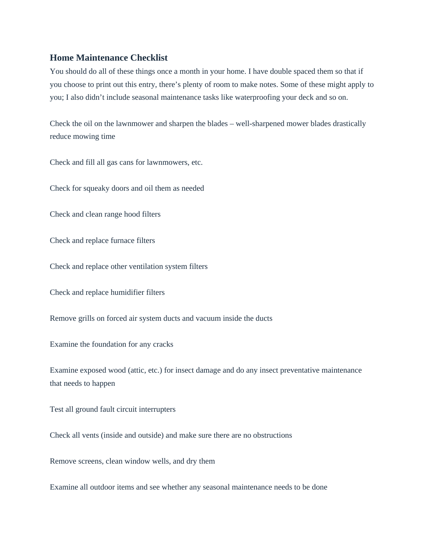## **Home Maintenance Checklist**

You should do all of these things once a month in your home. I have double spaced them so that if you choose to print out this entry, there's plenty of room to make notes. Some of these might apply to you; I also didn't include seasonal maintenance tasks like waterproofing your deck and so on.

Check the oil on the lawnmower and sharpen the blades – well-sharpened mower blades drastically reduce mowing time

Check and fill all gas cans for lawnmowers, etc.

Check for squeaky doors and oil them as needed

Check and clean range hood filters

Check and replace furnace filters

Check and replace other ventilation system filters

Check and replace humidifier filters

Remove grills on forced air system ducts and vacuum inside the ducts

Examine the foundation for any cracks

Examine exposed wood (attic, etc.) for insect damage and do any insect preventative maintenance that needs to happen

Test all ground fault circuit interrupters

Check all vents (inside and outside) and make sure there are no obstructions

Remove screens, clean window wells, and dry them

Examine all outdoor items and see whether any seasonal maintenance needs to be done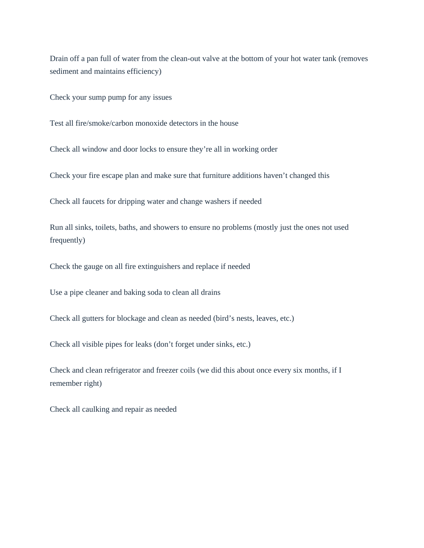Drain off a pan full of water from the clean-out valve at the bottom of your hot water tank (removes sediment and maintains efficiency)

Check your sump pump for any issues

Test all fire/smoke/carbon monoxide detectors in the house

Check all window and door locks to ensure they're all in working order

Check your fire escape plan and make sure that furniture additions haven't changed this

Check all faucets for dripping water and change washers if needed

Run all sinks, toilets, baths, and showers to ensure no problems (mostly just the ones not used frequently)

Check the gauge on all fire extinguishers and replace if needed

Use a pipe cleaner and baking soda to clean all drains

Check all gutters for blockage and clean as needed (bird's nests, leaves, etc.)

Check all visible pipes for leaks (don't forget under sinks, etc.)

Check and clean refrigerator and freezer coils (we did this about once every six months, if I remember right)

Check all caulking and repair as needed